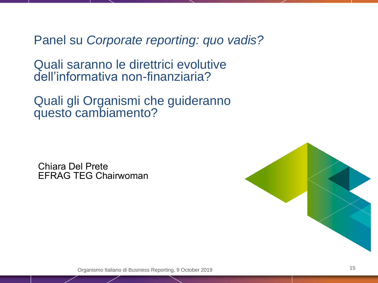Panel su *Corporate reporting: quo vadis?* 

Quali saranno le direttrici evolutive dell'informativa non-finanziaria?

Quali gli Organismi che guideranno questo cambiamento?

Chiara Del Prete EFRAG TEG Chairwoman



Organismo Italiano di Business Reporting, 9 October 2019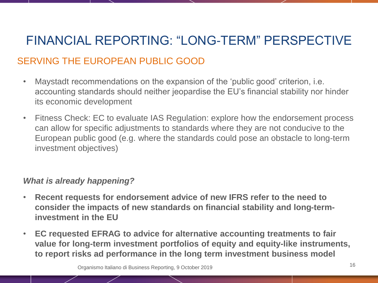# FINANCIAL REPORTING: "LONG-TERM" PERSPECTIVE

## SERVING THE EUROPEAN PUBLIC GOOD

- Maystadt recommendations on the expansion of the 'public good' criterion, i.e. accounting standards should neither jeopardise the EU's financial stability nor hinder its economic development
- Fitness Check: EC to evaluate IAS Regulation: explore how the endorsement process can allow for specific adjustments to standards where they are not conducive to the European public good (e.g. where the standards could pose an obstacle to long-term investment objectives)

#### *What is already happening?*

- **Recent requests for endorsement advice of new IFRS refer to the need to consider the impacts of new standards on financial stability and long-terminvestment in the EU**
- **EC requested EFRAG to advice for alternative accounting treatments to fair value for long-term investment portfolios of equity and equity-like instruments, to report risks ad performance in the long term investment business model**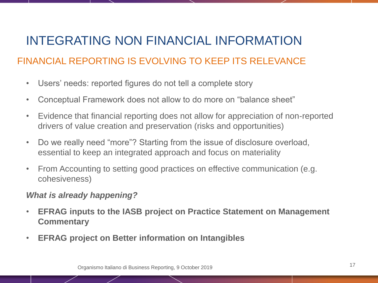## INTEGRATING NON FINANCIAL INFORMATION

## FINANCIAL REPORTING IS EVOLVING TO KEEP ITS RELEVANCE

- Users' needs: reported figures do not tell a complete story
- Conceptual Framework does not allow to do more on "balance sheet"
- Evidence that financial reporting does not allow for appreciation of non-reported drivers of value creation and preservation (risks and opportunities)
- Do we really need "more"? Starting from the issue of disclosure overload, essential to keep an integrated approach and focus on materiality
- From Accounting to setting good practices on effective communication (e.g. cohesiveness)

#### *What is already happening?*

- **EFRAG inputs to the IASB project on Practice Statement on Management Commentary**
- **EFRAG project on Better information on Intangibles**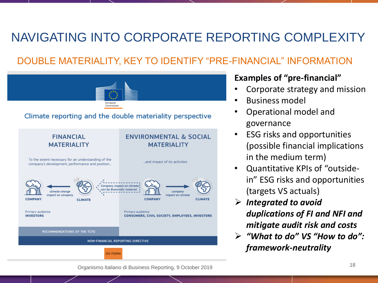## NAVIGATING INTO CORPORATE REPORTING COMPLEXITY

## DOUBLE MATERIALITY, KEY TO IDENTIFY "PRE-FINANCIAL" INFORMATION



#### **Examples of "pre-financial"**

- Corporate strategy and mission
- Business model
- Operational model and governance
- ESG risks and opportunities (possible financial implications in the medium term)
- Quantitative KPIs of "outsidein" ESG risks and opportunities (targets VS actuals)
- *Integrated to avoid duplications of FI and NFI and mitigate audit risk and costs*
- *"What to do" VS "How to do": framework-neutrality*

<sup>18</sup> Organismo Italiano di Business Reporting, 9 October 2019